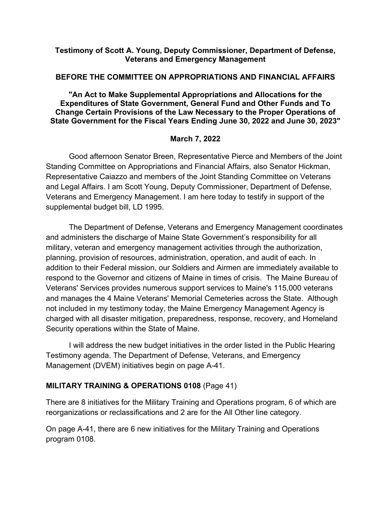#### **Testimony of Scott A. Young, Deputy Commissioner, Department of Defense, Veterans and Emergency Management**

#### **BEFORE THE COMMITTEE ON APPROPRIATIONS AND FINANCIAL AFFAIRS**

**"An Act to Make Supplemental Appropriations and Allocations for the Expenditures of State Government, General Fund and Other Funds and To Change Certain Provisions of the Law Necessary to the Proper Operations of State Government for the Fiscal Years Ending June 30, 2022 and June 30, 2023"**

#### **March 7, 2022**

Good afternoon Senator Breen, Representative Pierce and Members of the Joint Standing Committee on Appropriations and Financial Affairs, also Senator Hickman, Representative Caiazzo and members of the Joint Standing Committee on Veterans and Legal Affairs. I am Scott Young, Deputy Commissioner, Department of Defense, Veterans and Emergency Management. I am here today to testify in support of the supplemental budget bill, LD 1995.

The Department of Defense, Veterans and Emergency Management coordinates and administers the discharge of Maine State Government's responsibility for all military, veteran and emergency management activities through the authorization, planning, provision of resources, administration, operation, and audit of each. In addition to their Federal mission, our Soldiers and Airmen are immediately available to respond to the Governor and citizens of Maine in times of crisis. The Maine Bureau of Veterans' Services provides numerous support services to Maine's 115,000 veterans and manages the 4 Maine Veterans' Memorial Cemeteries across the State. Although not included in my testimony today, the Maine Emergency Management Agency is charged with all disaster mitigation, preparedness, response, recovery, and Homeland Security operations within the State of Maine.

I will address the new budget initiatives in the order listed in the Public Hearing Testimony agenda. The Department of Defense, Veterans, and Emergency Management (DVEM) initiatives begin on page A-41.

#### **MILITARY TRAINING & OPERATIONS 0108** (Page 41)

There are 8 initiatives for the Military Training and Operations program, 6 of which are reorganizations or reclassifications and 2 are for the All Other line category.

On page A-41, there are 6 new initiatives for the Military Training and Operations program 0108.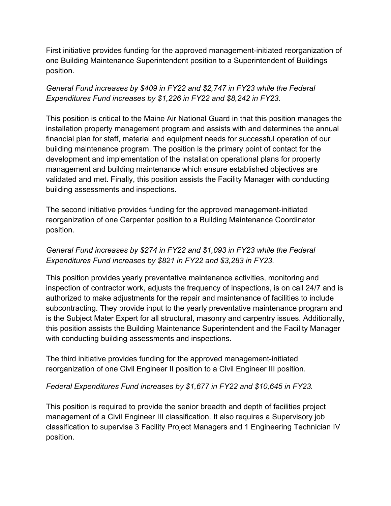First initiative provides funding for the approved management-initiated reorganization of one Building Maintenance Superintendent position to a Superintendent of Buildings position.

## *General Fund increases by \$409 in FY22 and \$2,747 in FY23 while the Federal Expenditures Fund increases by \$1,226 in FY22 and \$8,242 in FY23.*

This position is critical to the Maine Air National Guard in that this position manages the installation property management program and assists with and determines the annual financial plan for staff, material and equipment needs for successful operation of our building maintenance program. The position is the primary point of contact for the development and implementation of the installation operational plans for property management and building maintenance which ensure established objectives are validated and met. Finally, this position assists the Facility Manager with conducting building assessments and inspections.

The second initiative provides funding for the approved management-initiated reorganization of one Carpenter position to a Building Maintenance Coordinator position.

# *General Fund increases by \$274 in FY22 and \$1,093 in FY23 while the Federal Expenditures Fund increases by \$821 in FY22 and \$3,283 in FY23.*

This position provides yearly preventative maintenance activities, monitoring and inspection of contractor work, adjusts the frequency of inspections, is on call 24/7 and is authorized to make adjustments for the repair and maintenance of facilities to include subcontracting. They provide input to the yearly preventative maintenance program and is the Subject Mater Expert for all structural, masonry and carpentry issues. Additionally, this position assists the Building Maintenance Superintendent and the Facility Manager with conducting building assessments and inspections.

The third initiative provides funding for the approved management-initiated reorganization of one Civil Engineer II position to a Civil Engineer III position.

## *Federal Expenditures Fund increases by \$1,677 in FY22 and \$10,645 in FY23.*

This position is required to provide the senior breadth and depth of facilities project management of a Civil Engineer III classification. It also requires a Supervisory job classification to supervise 3 Facility Project Managers and 1 Engineering Technician IV position.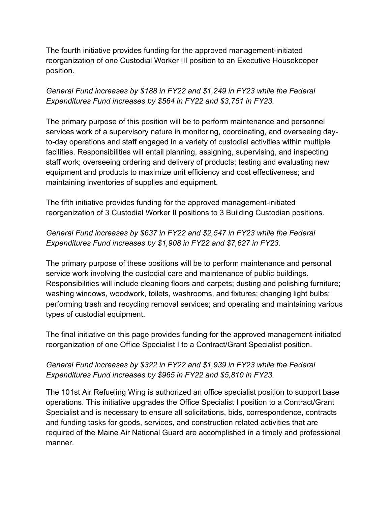The fourth initiative provides funding for the approved management-initiated reorganization of one Custodial Worker III position to an Executive Housekeeper position.

## *General Fund increases by \$188 in FY22 and \$1,249 in FY23 while the Federal Expenditures Fund increases by \$564 in FY22 and \$3,751 in FY23.*

The primary purpose of this position will be to perform maintenance and personnel services work of a supervisory nature in monitoring, coordinating, and overseeing dayto-day operations and staff engaged in a variety of custodial activities within multiple facilities. Responsibilities will entail planning, assigning, supervising, and inspecting staff work; overseeing ordering and delivery of products; testing and evaluating new equipment and products to maximize unit efficiency and cost effectiveness; and maintaining inventories of supplies and equipment.

The fifth initiative provides funding for the approved management-initiated reorganization of 3 Custodial Worker II positions to 3 Building Custodian positions.

# *General Fund increases by \$637 in FY22 and \$2,547 in FY23 while the Federal Expenditures Fund increases by \$1,908 in FY22 and \$7,627 in FY23.*

The primary purpose of these positions will be to perform maintenance and personal service work involving the custodial care and maintenance of public buildings. Responsibilities will include cleaning floors and carpets; dusting and polishing furniture; washing windows, woodwork, toilets, washrooms, and fixtures; changing light bulbs; performing trash and recycling removal services; and operating and maintaining various types of custodial equipment.

The final initiative on this page provides funding for the approved management-initiated reorganization of one Office Specialist I to a Contract/Grant Specialist position.

## *General Fund increases by \$322 in FY22 and \$1,939 in FY23 while the Federal Expenditures Fund increases by \$965 in FY22 and \$5,810 in FY23.*

The 101st Air Refueling Wing is authorized an office specialist position to support base operations. This initiative upgrades the Office Specialist I position to a Contract/Grant Specialist and is necessary to ensure all solicitations, bids, correspondence, contracts and funding tasks for goods, services, and construction related activities that are required of the Maine Air National Guard are accomplished in a timely and professional manner.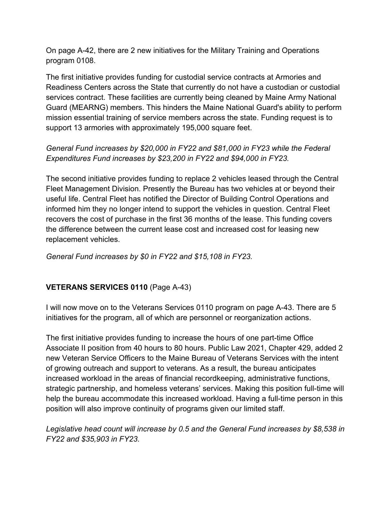On page A-42, there are 2 new initiatives for the Military Training and Operations program 0108.

The first initiative provides funding for custodial service contracts at Armories and Readiness Centers across the State that currently do not have a custodian or custodial services contract. These facilities are currently being cleaned by Maine Army National Guard (MEARNG) members. This hinders the Maine National Guard's ability to perform mission essential training of service members across the state. Funding request is to support 13 armories with approximately 195,000 square feet.

## *General Fund increases by \$20,000 in FY22 and \$81,000 in FY23 while the Federal Expenditures Fund increases by \$23,200 in FY22 and \$94,000 in FY23.*

The second initiative provides funding to replace 2 vehicles leased through the Central Fleet Management Division. Presently the Bureau has two vehicles at or beyond their useful life. Central Fleet has notified the Director of Building Control Operations and informed him they no longer intend to support the vehicles in question. Central Fleet recovers the cost of purchase in the first 36 months of the lease. This funding covers the difference between the current lease cost and increased cost for leasing new replacement vehicles.

*General Fund increases by \$0 in FY22 and \$15,108 in FY23.*

# **VETERANS SERVICES 0110** (Page A-43)

I will now move on to the Veterans Services 0110 program on page A-43. There are 5 initiatives for the program, all of which are personnel or reorganization actions.

The first initiative provides funding to increase the hours of one part-time Office Associate II position from 40 hours to 80 hours. Public Law 2021, Chapter 429, added 2 new Veteran Service Officers to the Maine Bureau of Veterans Services with the intent of growing outreach and support to veterans. As a result, the bureau anticipates increased workload in the areas of financial recordkeeping, administrative functions, strategic partnership, and homeless veterans' services. Making this position full-time will help the bureau accommodate this increased workload. Having a full-time person in this position will also improve continuity of programs given our limited staff.

*Legislative head count will increase by 0.5 and the General Fund increases by \$8,538 in FY22 and \$35,903 in FY23.*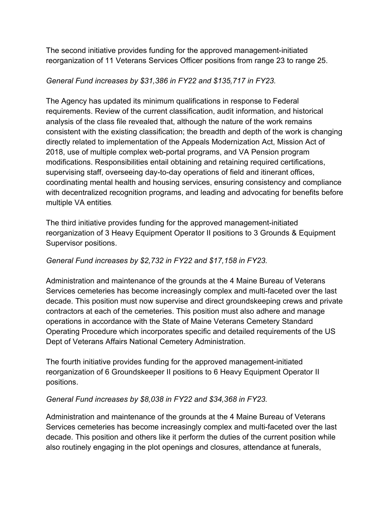The second initiative provides funding for the approved management-initiated reorganization of 11 Veterans Services Officer positions from range 23 to range 25.

#### *General Fund increases by \$31,386 in FY22 and \$135,717 in FY23.*

The Agency has updated its minimum qualifications in response to Federal requirements. Review of the current classification, audit information, and historical analysis of the class file revealed that, although the nature of the work remains consistent with the existing classification; the breadth and depth of the work is changing directly related to implementation of the Appeals Modernization Act, Mission Act of 2018, use of multiple complex web-portal programs, and VA Pension program modifications. Responsibilities entail obtaining and retaining required certifications, supervising staff, overseeing day-to-day operations of field and itinerant offices, coordinating mental health and housing services, ensuring consistency and compliance with decentralized recognition programs, and leading and advocating for benefits before multiple VA entities.

The third initiative provides funding for the approved management-initiated reorganization of 3 Heavy Equipment Operator II positions to 3 Grounds & Equipment Supervisor positions.

## *General Fund increases by \$2,732 in FY22 and \$17,158 in FY23.*

Administration and maintenance of the grounds at the 4 Maine Bureau of Veterans Services cemeteries has become increasingly complex and multi-faceted over the last decade. This position must now supervise and direct groundskeeping crews and private contractors at each of the cemeteries. This position must also adhere and manage operations in accordance with the State of Maine Veterans Cemetery Standard Operating Procedure which incorporates specific and detailed requirements of the US Dept of Veterans Affairs National Cemetery Administration.

The fourth initiative provides funding for the approved management-initiated reorganization of 6 Groundskeeper II positions to 6 Heavy Equipment Operator II positions.

#### *General Fund increases by \$8,038 in FY22 and \$34,368 in FY23.*

Administration and maintenance of the grounds at the 4 Maine Bureau of Veterans Services cemeteries has become increasingly complex and multi-faceted over the last decade. This position and others like it perform the duties of the current position while also routinely engaging in the plot openings and closures, attendance at funerals,